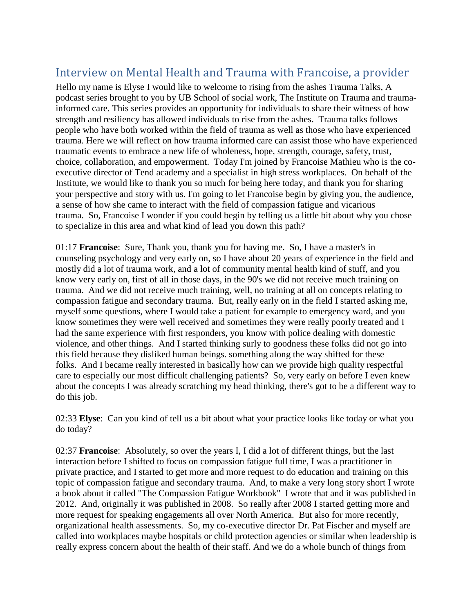## Interview on Mental Health and Trauma with Francoise, a provider

Hello my name is Elyse I would like to welcome to rising from the ashes Trauma Talks, A podcast series brought to you by UB School of social work, The Institute on Trauma and traumainformed care. This series provides an opportunity for individuals to share their witness of how strength and resiliency has allowed individuals to rise from the ashes. Trauma talks follows people who have both worked within the field of trauma as well as those who have experienced trauma. Here we will reflect on how trauma informed care can assist those who have experienced traumatic events to embrace a new life of wholeness, hope, strength, courage, safety, trust, choice, collaboration, and empowerment. Today I'm joined by Francoise Mathieu who is the coexecutive director of Tend academy and a specialist in high stress workplaces. On behalf of the Institute, we would like to thank you so much for being here today, and thank you for sharing your perspective and story with us. I'm going to let Francoise begin by giving you, the audience, a sense of how she came to interact with the field of compassion fatigue and vicarious trauma. So, Francoise I wonder if you could begin by telling us a little bit about why you chose to specialize in this area and what kind of lead you down this path?

01:17 **Francoise**: Sure, Thank you, thank you for having me. So, I have a master's in counseling psychology and very early on, so I have about 20 years of experience in the field and mostly did a lot of trauma work, and a lot of community mental health kind of stuff, and you know very early on, first of all in those days, in the 90's we did not receive much training on trauma. And we did not receive much training, well, no training at all on concepts relating to compassion fatigue and secondary trauma. But, really early on in the field I started asking me, myself some questions, where I would take a patient for example to emergency ward, and you know sometimes they were well received and sometimes they were really poorly treated and I had the same experience with first responders, you know with police dealing with domestic violence, and other things. And I started thinking surly to goodness these folks did not go into this field because they disliked human beings. something along the way shifted for these folks. And I became really interested in basically how can we provide high quality respectful care to especially our most difficult challenging patients? So, very early on before I even knew about the concepts I was already scratching my head thinking, there's got to be a different way to do this job.

02:33 **Elyse**: Can you kind of tell us a bit about what your practice looks like today or what you do today?

02:37 **Francoise**: Absolutely, so over the years I, I did a lot of different things, but the last interaction before I shifted to focus on compassion fatigue full time, I was a practitioner in private practice, and I started to get more and more request to do education and training on this topic of compassion fatigue and secondary trauma. And, to make a very long story short I wrote a book about it called "The Compassion Fatigue Workbook" I wrote that and it was published in 2012. And, originally it was published in 2008. So really after 2008 I started getting more and more request for speaking engagements all over North America. But also for more recently, organizational health assessments. So, my co-executive director Dr. Pat Fischer and myself are called into workplaces maybe hospitals or child protection agencies or similar when leadership is really express concern about the health of their staff. And we do a whole bunch of things from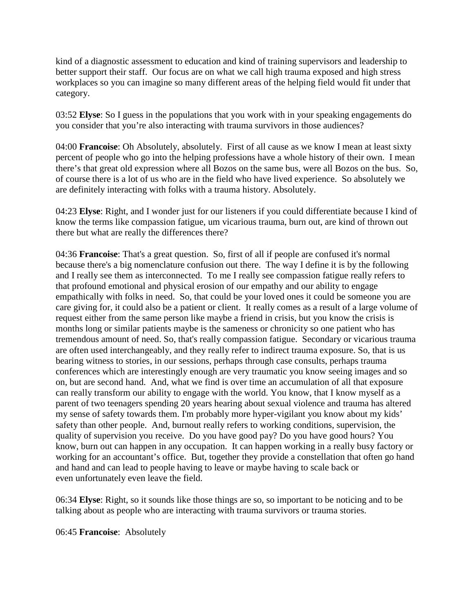kind of a diagnostic assessment to education and kind of training supervisors and leadership to better support their staff. Our focus are on what we call high trauma exposed and high stress workplaces so you can imagine so many different areas of the helping field would fit under that category.

03:52 **Elyse**: So I guess in the populations that you work with in your speaking engagements do you consider that you're also interacting with trauma survivors in those audiences?

04:00 **Francoise**: Oh Absolutely, absolutely. First of all cause as we know I mean at least sixty percent of people who go into the helping professions have a whole history of their own. I mean there's that great old expression where all Bozos on the same bus, were all Bozos on the bus. So, of course there is a lot of us who are in the field who have lived experience. So absolutely we are definitely interacting with folks with a trauma history. Absolutely.

04:23 **Elyse**: Right, and I wonder just for our listeners if you could differentiate because I kind of know the terms like compassion fatigue, um vicarious trauma, burn out, are kind of thrown out there but what are really the differences there?

04:36 **Francoise**: That's a great question. So, first of all if people are confused it's normal because there's a big nomenclature confusion out there. The way I define it is by the following and I really see them as interconnected. To me I really see compassion fatigue really refers to that profound emotional and physical erosion of our empathy and our ability to engage empathically with folks in need. So, that could be your loved ones it could be someone you are care giving for, it could also be a patient or client. It really comes as a result of a large volume of request either from the same person like maybe a friend in crisis, but you know the crisis is months long or similar patients maybe is the sameness or chronicity so one patient who has tremendous amount of need. So, that's really compassion fatigue. Secondary or vicarious trauma are often used interchangeably, and they really refer to indirect trauma exposure. So, that is us bearing witness to stories, in our sessions, perhaps through case consults, perhaps trauma conferences which are interestingly enough are very traumatic you know seeing images and so on, but are second hand. And, what we find is over time an accumulation of all that exposure can really transform our ability to engage with the world. You know, that I know myself as a parent of two teenagers spending 20 years hearing about sexual violence and trauma has altered my sense of safety towards them. I'm probably more hyper-vigilant you know about my kids' safety than other people. And, burnout really refers to working conditions, supervision, the quality of supervision you receive. Do you have good pay? Do you have good hours? You know, burn out can happen in any occupation. It can happen working in a really busy factory or working for an accountant's office. But, together they provide a constellation that often go hand and hand and can lead to people having to leave or maybe having to scale back or even unfortunately even leave the field.

06:34 **Elyse**: Right, so it sounds like those things are so, so important to be noticing and to be talking about as people who are interacting with trauma survivors or trauma stories.

06:45 **Francoise**: Absolutely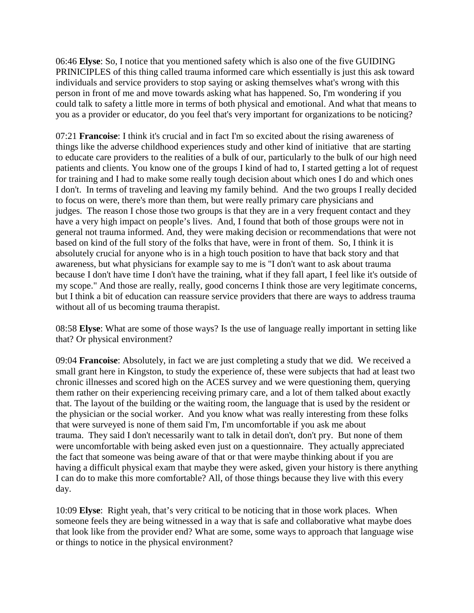06:46 **Elyse**: So, I notice that you mentioned safety which is also one of the five GUIDING PRINICIPLES of this thing called trauma informed care which essentially is just this ask toward individuals and service providers to stop saying or asking themselves what's wrong with this person in front of me and move towards asking what has happened. So, I'm wondering if you could talk to safety a little more in terms of both physical and emotional. And what that means to you as a provider or educator, do you feel that's very important for organizations to be noticing?

07:21 **Francoise**: I think it's crucial and in fact I'm so excited about the rising awareness of things like the adverse childhood experiences study and other kind of initiative that are starting to educate care providers to the realities of a bulk of our, particularly to the bulk of our high need patients and clients. You know one of the groups I kind of had to, I started getting a lot of request for training and I had to make some really tough decision about which ones I do and which ones I don't. In terms of traveling and leaving my family behind. And the two groups I really decided to focus on were, there's more than them, but were really primary care physicians and judges. The reason I chose those two groups is that they are in a very frequent contact and they have a very high impact on people's lives. And, I found that both of those groups were not in general not trauma informed. And, they were making decision or recommendations that were not based on kind of the full story of the folks that have, were in front of them. So, I think it is absolutely crucial for anyone who is in a high touch position to have that back story and that awareness, but what physicians for example say to me is "I don't want to ask about trauma because I don't have time I don't have the training, what if they fall apart, I feel like it's outside of my scope." And those are really, really, good concerns I think those are very legitimate concerns, but I think a bit of education can reassure service providers that there are ways to address trauma without all of us becoming trauma therapist.

08:58 **Elyse**: What are some of those ways? Is the use of language really important in setting like that? Or physical environment?

09:04 **Francoise**: Absolutely, in fact we are just completing a study that we did. We received a small grant here in Kingston, to study the experience of, these were subjects that had at least two chronic illnesses and scored high on the ACES survey and we were questioning them, querying them rather on their experiencing receiving primary care, and a lot of them talked about exactly that. The layout of the building or the waiting room, the language that is used by the resident or the physician or the social worker. And you know what was really interesting from these folks that were surveyed is none of them said I'm, I'm uncomfortable if you ask me about trauma. They said I don't necessarily want to talk in detail don't, don't pry. But none of them were uncomfortable with being asked even just on a questionnaire. They actually appreciated the fact that someone was being aware of that or that were maybe thinking about if you are having a difficult physical exam that maybe they were asked, given your history is there anything I can do to make this more comfortable? All, of those things because they live with this every day.

10:09 **Elyse**: Right yeah, that's very critical to be noticing that in those work places. When someone feels they are being witnessed in a way that is safe and collaborative what maybe does that look like from the provider end? What are some, some ways to approach that language wise or things to notice in the physical environment?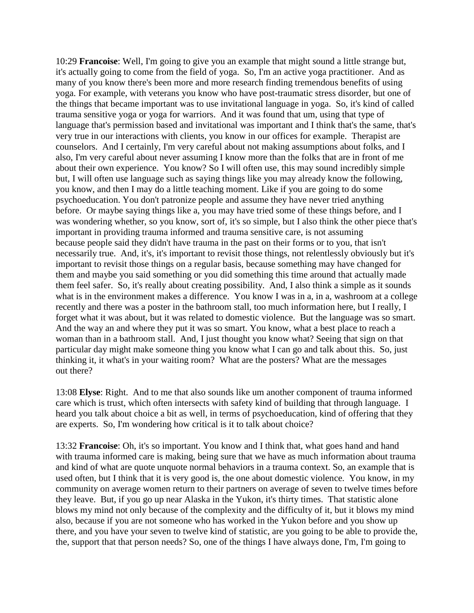10:29 **Francoise**: Well, I'm going to give you an example that might sound a little strange but, it's actually going to come from the field of yoga. So, I'm an active yoga practitioner. And as many of you know there's been more and more research finding tremendous benefits of using yoga. For example, with veterans you know who have post-traumatic stress disorder, but one of the things that became important was to use invitational language in yoga. So, it's kind of called trauma sensitive yoga or yoga for warriors. And it was found that um, using that type of language that's permission based and invitational was important and I think that's the same, that's very true in our interactions with clients, you know in our offices for example. Therapist are counselors. And I certainly, I'm very careful about not making assumptions about folks, and I also, I'm very careful about never assuming I know more than the folks that are in front of me about their own experience. You know? So I will often use, this may sound incredibly simple but, I will often use language such as saying things like you may already know the following, you know, and then I may do a little teaching moment. Like if you are going to do some psychoeducation. You don't patronize people and assume they have never tried anything before. Or maybe saying things like a, you may have tried some of these things before, and I was wondering whether, so you know, sort of, it's so simple, but I also think the other piece that's important in providing trauma informed and trauma sensitive care, is not assuming because people said they didn't have trauma in the past on their forms or to you, that isn't necessarily true. And, it's, it's important to revisit those things, not relentlessly obviously but it's important to revisit those things on a regular basis, because something may have changed for them and maybe you said something or you did something this time around that actually made them feel safer. So, it's really about creating possibility. And, I also think a simple as it sounds what is in the environment makes a difference. You know I was in a, in a, washroom at a college recently and there was a poster in the bathroom stall, too much information here, but I really, I forget what it was about, but it was related to domestic violence. But the language was so smart. And the way an and where they put it was so smart. You know, what a best place to reach a woman than in a bathroom stall. And, I just thought you know what? Seeing that sign on that particular day might make someone thing you know what I can go and talk about this. So, just thinking it, it what's in your waiting room? What are the posters? What are the messages out there?

13:08 **Elyse**: Right. And to me that also sounds like um another component of trauma informed care which is trust, which often intersects with safety kind of building that through language. I heard you talk about choice a bit as well, in terms of psychoeducation, kind of offering that they are experts. So, I'm wondering how critical is it to talk about choice?

13:32 **Francoise**: Oh, it's so important. You know and I think that, what goes hand and hand with trauma informed care is making, being sure that we have as much information about trauma and kind of what are quote unquote normal behaviors in a trauma context. So, an example that is used often, but I think that it is very good is, the one about domestic violence. You know, in my community on average women return to their partners on average of seven to twelve times before they leave. But, if you go up near Alaska in the Yukon, it's thirty times. That statistic alone blows my mind not only because of the complexity and the difficulty of it, but it blows my mind also, because if you are not someone who has worked in the Yukon before and you show up there, and you have your seven to twelve kind of statistic, are you going to be able to provide the, the, support that that person needs? So, one of the things I have always done, I'm, I'm going to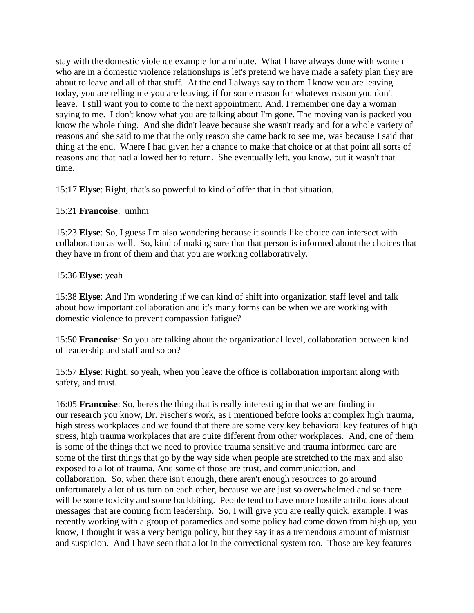stay with the domestic violence example for a minute. What I have always done with women who are in a domestic violence relationships is let's pretend we have made a safety plan they are about to leave and all of that stuff. At the end I always say to them I know you are leaving today, you are telling me you are leaving, if for some reason for whatever reason you don't leave. I still want you to come to the next appointment. And, I remember one day a woman saying to me. I don't know what you are talking about I'm gone. The moving van is packed you know the whole thing. And she didn't leave because she wasn't ready and for a whole variety of reasons and she said to me that the only reason she came back to see me, was because I said that thing at the end. Where I had given her a chance to make that choice or at that point all sorts of reasons and that had allowed her to return. She eventually left, you know, but it wasn't that time.

15:17 **Elyse**: Right, that's so powerful to kind of offer that in that situation.

## 15:21 **Francoise**: umhm

15:23 **Elyse**: So, I guess I'm also wondering because it sounds like choice can intersect with collaboration as well. So, kind of making sure that that person is informed about the choices that they have in front of them and that you are working collaboratively.

## 15:36 **Elyse**: yeah

15:38 **Elyse**: And I'm wondering if we can kind of shift into organization staff level and talk about how important collaboration and it's many forms can be when we are working with domestic violence to prevent compassion fatigue?

15:50 **Francoise**: So you are talking about the organizational level, collaboration between kind of leadership and staff and so on?

15:57 **Elyse**: Right, so yeah, when you leave the office is collaboration important along with safety, and trust.

16:05 **Francoise**: So, here's the thing that is really interesting in that we are finding in our research you know, Dr. Fischer's work, as I mentioned before looks at complex high trauma, high stress workplaces and we found that there are some very key behavioral key features of high stress, high trauma workplaces that are quite different from other workplaces. And, one of them is some of the things that we need to provide trauma sensitive and trauma informed care are some of the first things that go by the way side when people are stretched to the max and also exposed to a lot of trauma. And some of those are trust, and communication, and collaboration. So, when there isn't enough, there aren't enough resources to go around unfortunately a lot of us turn on each other, because we are just so overwhelmed and so there will be some toxicity and some backbiting. People tend to have more hostile attributions about messages that are coming from leadership. So, I will give you are really quick, example. I was recently working with a group of paramedics and some policy had come down from high up, you know, I thought it was a very benign policy, but they say it as a tremendous amount of mistrust and suspicion. And I have seen that a lot in the correctional system too. Those are key features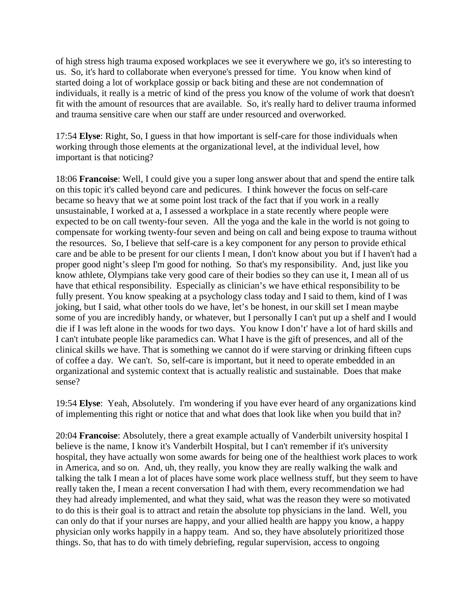of high stress high trauma exposed workplaces we see it everywhere we go, it's so interesting to us. So, it's hard to collaborate when everyone's pressed for time. You know when kind of started doing a lot of workplace gossip or back biting and these are not condemnation of individuals, it really is a metric of kind of the press you know of the volume of work that doesn't fit with the amount of resources that are available. So, it's really hard to deliver trauma informed and trauma sensitive care when our staff are under resourced and overworked.

17:54 **Elyse**: Right, So, I guess in that how important is self-care for those individuals when working through those elements at the organizational level, at the individual level, how important is that noticing?

18:06 **Francoise**: Well, I could give you a super long answer about that and spend the entire talk on this topic it's called beyond care and pedicures. I think however the focus on self-care became so heavy that we at some point lost track of the fact that if you work in a really unsustainable, I worked at a, I assessed a workplace in a state recently where people were expected to be on call twenty-four seven. All the yoga and the kale in the world is not going to compensate for working twenty-four seven and being on call and being expose to trauma without the resources. So, I believe that self-care is a key component for any person to provide ethical care and be able to be present for our clients I mean, I don't know about you but if I haven't had a proper good night's sleep I'm good for nothing. So that's my responsibility. And, just like you know athlete, Olympians take very good care of their bodies so they can use it, I mean all of us have that ethical responsibility. Especially as clinician's we have ethical responsibility to be fully present. You know speaking at a psychology class today and I said to them, kind of I was joking, but I said, what other tools do we have, let's be honest, in our skill set I mean maybe some of you are incredibly handy, or whatever, but I personally I can't put up a shelf and I would die if I was left alone in the woods for two days. You know I don't' have a lot of hard skills and I can't intubate people like paramedics can. What I have is the gift of presences, and all of the clinical skills we have. That is something we cannot do if were starving or drinking fifteen cups of coffee a day. We can't. So, self-care is important, but it need to operate embedded in an organizational and systemic context that is actually realistic and sustainable. Does that make sense?

19:54 **Elyse**: Yeah, Absolutely. I'm wondering if you have ever heard of any organizations kind of implementing this right or notice that and what does that look like when you build that in?

20:04 **Francoise**: Absolutely, there a great example actually of Vanderbilt university hospital I believe is the name, I know it's Vanderbilt Hospital, but I can't remember if it's university hospital, they have actually won some awards for being one of the healthiest work places to work in America, and so on. And, uh, they really, you know they are really walking the walk and talking the talk I mean a lot of places have some work place wellness stuff, but they seem to have really taken the, I mean a recent conversation I had with them, every recommendation we had they had already implemented, and what they said, what was the reason they were so motivated to do this is their goal is to attract and retain the absolute top physicians in the land. Well, you can only do that if your nurses are happy, and your allied health are happy you know, a happy physician only works happily in a happy team. And so, they have absolutely prioritized those things. So, that has to do with timely debriefing, regular supervision, access to ongoing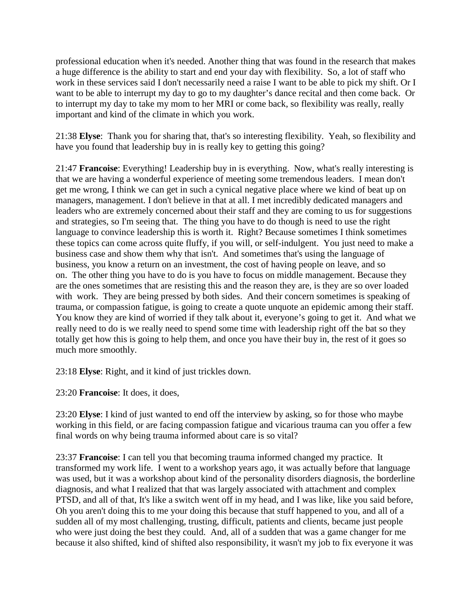professional education when it's needed. Another thing that was found in the research that makes a huge difference is the ability to start and end your day with flexibility. So, a lot of staff who work in these services said I don't necessarily need a raise I want to be able to pick my shift. Or I want to be able to interrupt my day to go to my daughter's dance recital and then come back. Or to interrupt my day to take my mom to her MRI or come back, so flexibility was really, really important and kind of the climate in which you work.

21:38 **Elyse**: Thank you for sharing that, that's so interesting flexibility. Yeah, so flexibility and have you found that leadership buy in is really key to getting this going?

21:47 **Francoise**: Everything! Leadership buy in is everything. Now, what's really interesting is that we are having a wonderful experience of meeting some tremendous leaders. I mean don't get me wrong, I think we can get in such a cynical negative place where we kind of beat up on managers, management. I don't believe in that at all. I met incredibly dedicated managers and leaders who are extremely concerned about their staff and they are coming to us for suggestions and strategies, so I'm seeing that. The thing you have to do though is need to use the right language to convince leadership this is worth it. Right? Because sometimes I think sometimes these topics can come across quite fluffy, if you will, or self-indulgent. You just need to make a business case and show them why that isn't. And sometimes that's using the language of business, you know a return on an investment, the cost of having people on leave, and so on. The other thing you have to do is you have to focus on middle management. Because they are the ones sometimes that are resisting this and the reason they are, is they are so over loaded with work. They are being pressed by both sides. And their concern sometimes is speaking of trauma, or compassion fatigue, is going to create a quote unquote an epidemic among their staff. You know they are kind of worried if they talk about it, everyone's going to get it. And what we really need to do is we really need to spend some time with leadership right off the bat so they totally get how this is going to help them, and once you have their buy in, the rest of it goes so much more smoothly.

23:18 **Elyse**: Right, and it kind of just trickles down.

23:20 **Francoise**: It does, it does,

23:20 **Elyse**: I kind of just wanted to end off the interview by asking, so for those who maybe working in this field, or are facing compassion fatigue and vicarious trauma can you offer a few final words on why being trauma informed about care is so vital?

23:37 **Francoise**: I can tell you that becoming trauma informed changed my practice. It transformed my work life. I went to a workshop years ago, it was actually before that language was used, but it was a workshop about kind of the personality disorders diagnosis, the borderline diagnosis, and what I realized that that was largely associated with attachment and complex PTSD, and all of that, It's like a switch went off in my head, and I was like, like you said before, Oh you aren't doing this to me your doing this because that stuff happened to you, and all of a sudden all of my most challenging, trusting, difficult, patients and clients, became just people who were just doing the best they could. And, all of a sudden that was a game changer for me because it also shifted, kind of shifted also responsibility, it wasn't my job to fix everyone it was